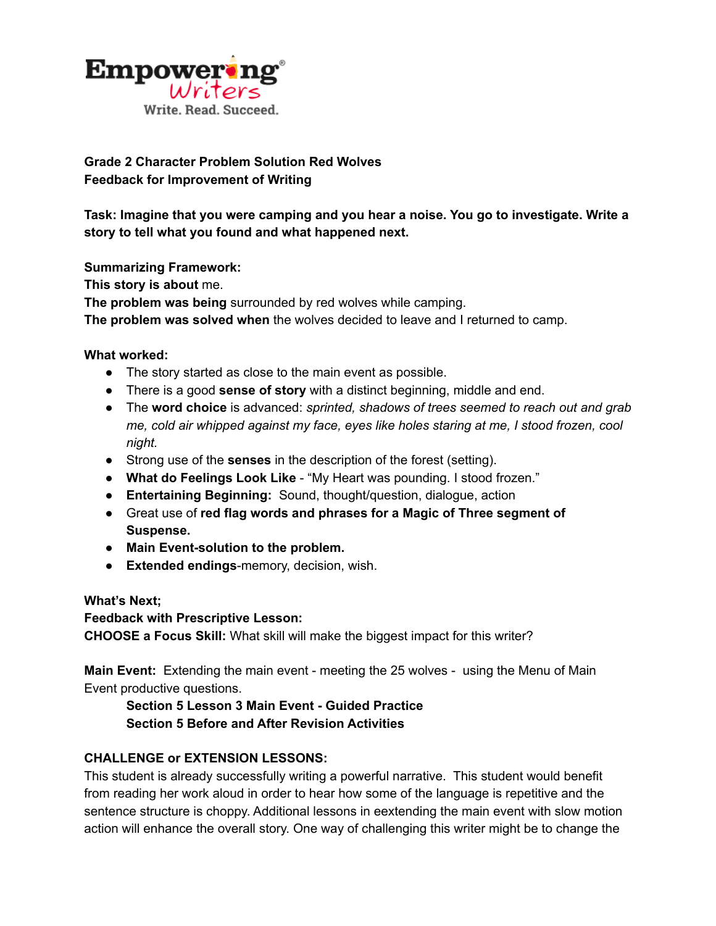

## **Grade 2 Character Problem Solution Red Wolves Feedback for Improvement of Writing**

**Task: Imagine that you were camping and you hear a noise. You go to investigate. Write a story to tell what you found and what happened next.**

**Summarizing Framework:**

**This story is about** me.

**The problem was being** surrounded by red wolves while camping.

**The problem was solved when** the wolves decided to leave and I returned to camp.

**What worked:**

- The story started as close to the main event as possible.
- There is a good **sense of story** with a distinct beginning, middle and end.
- The **word choice** is advanced: *sprinted, shadows of trees seemed to reach out and grab me, cold air whipped against my face, eyes like holes staring at me, I stood frozen, cool night.*
- Strong use of the **senses** in the description of the forest (setting).
- **What do Feelings Look Like** "My Heart was pounding. I stood frozen."
- **Entertaining Beginning:** Sound, thought/question, dialogue, action
- Great use of **red flag words and phrases for a Magic of Three segment of Suspense.**
- **● Main Event-solution to the problem.**
- **Extended endings**-memory, decision, wish.

**What's Next;**

**Feedback with Prescriptive Lesson:**

**CHOOSE a Focus Skill:** What skill will make the biggest impact for this writer?

**Main Event:** Extending the main event - meeting the 25 wolves - using the Menu of Main Event productive questions.

## **Section 5 Lesson 3 Main Event - Guided Practice Section 5 Before and After Revision Activities**

## **CHALLENGE or EXTENSION LESSONS:**

This student is already successfully writing a powerful narrative. This student would benefit from reading her work aloud in order to hear how some of the language is repetitive and the sentence structure is choppy. Additional lessons in eextending the main event with slow motion action will enhance the overall story. One way of challenging this writer might be to change the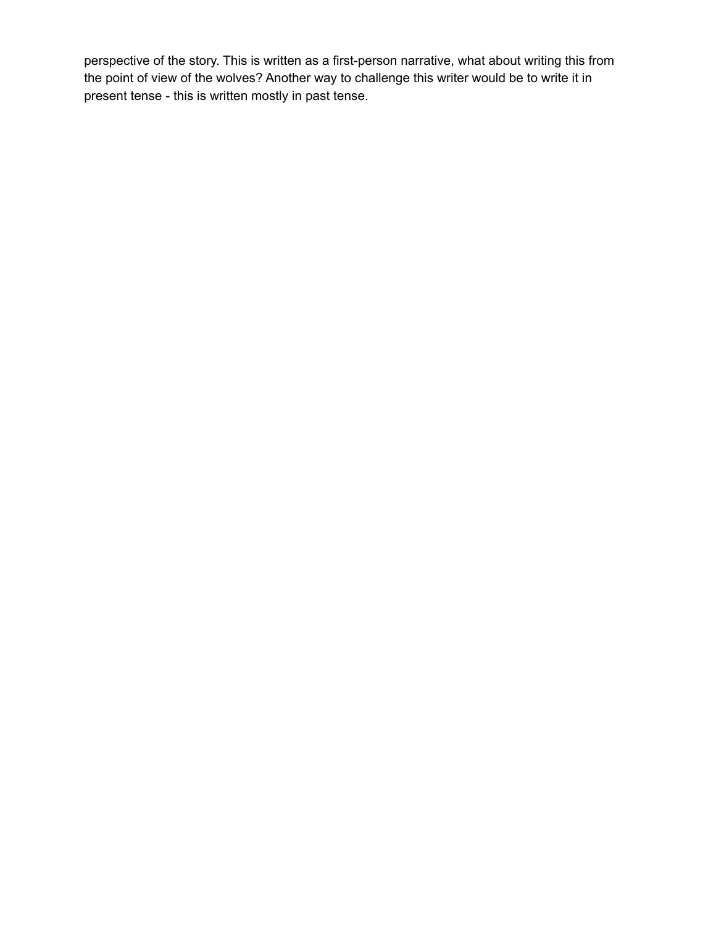perspective of the story. This is written as a first-person narrative, what about writing this from the point of view of the wolves? Another way to challenge this writer would be to write it in present tense - this is written mostly in past tense.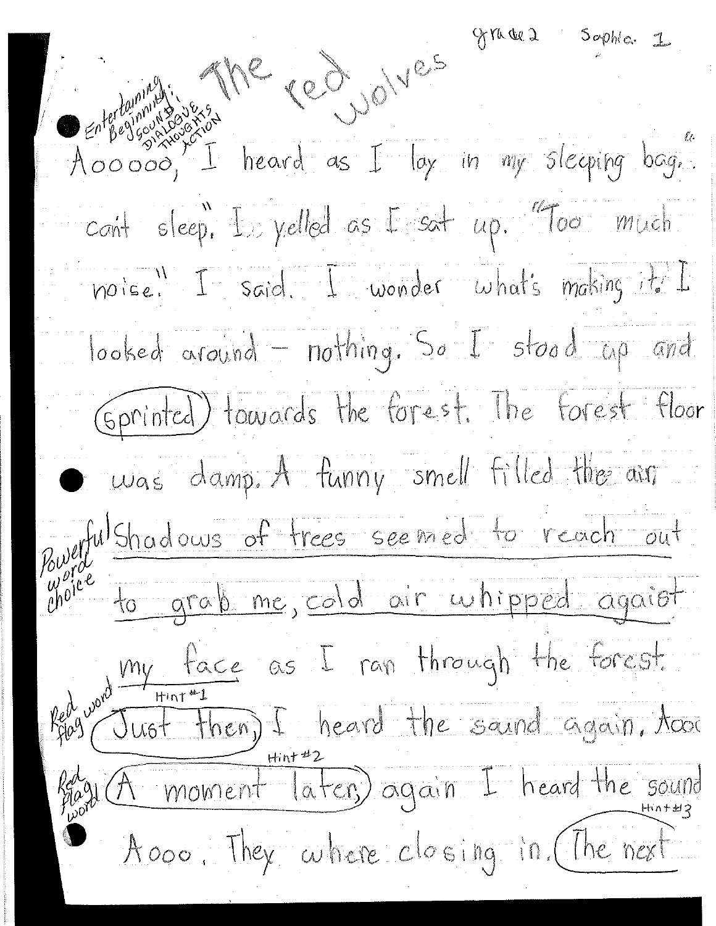graces sophia 1 cont sleep. In yelled as I sat up. "Too much noise. I said. I wonder what's making it. I looked around - nothing. So I stood up and (Sprinted) towards the forest. The forest floor  $\bullet$   $\omega$ as damp. A funny smell filled the air Pourful Shadows of trees seemed to reach out Red und the face as I ran through the forest.<br>Red und them, I heard the saind again, Acor Régula moment later again I heard the sound Aloop, They where closing in (The next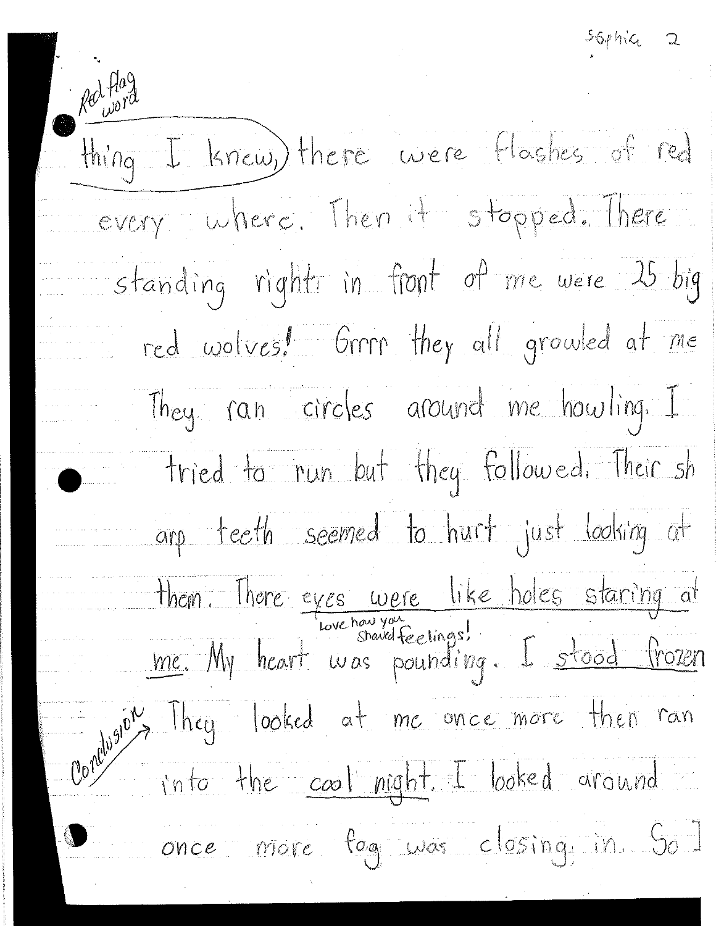$-56$  phile 2

Red flag thing I knew, there were flashes of red every where. Then it stopped. There standing right in front of me were 15 big red wolves! Grrn they all growled at me They ran circles around me howling. I tried to run but they followed. Their sh arp teeth seemed to hurt just looking at them. There eyes were like holes staring at<br>me. My heart was pounding. I stood frozen of They looked at me once more then ran into the cool night. I looked around once more fog was closing in Sol